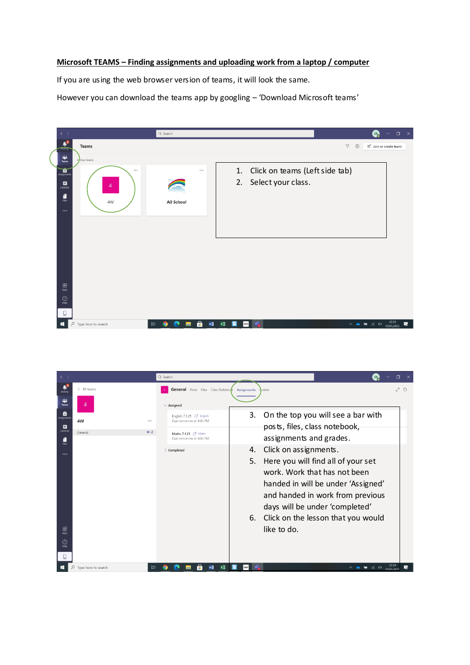## **Microsoft TEAMS – Finding assignments and uploading work from a laptop / computer**

If you are using the web browser version of teams, it will look the same.

However you can download the teams app by googling – 'Download Microsoft teams'



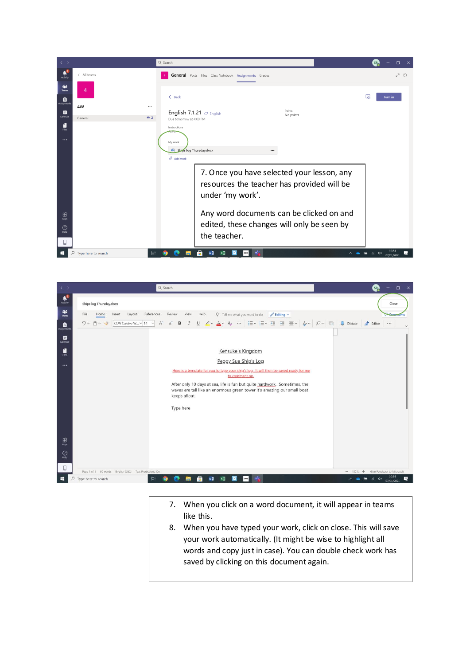



- 7. When you click on a word document, it will appear in teams like this.
- 8. When you have typed your work, click on close. This will save your work automatically. (It might be wise to highlight all words and copy just in case). You can double check work has saved by clicking on this document again.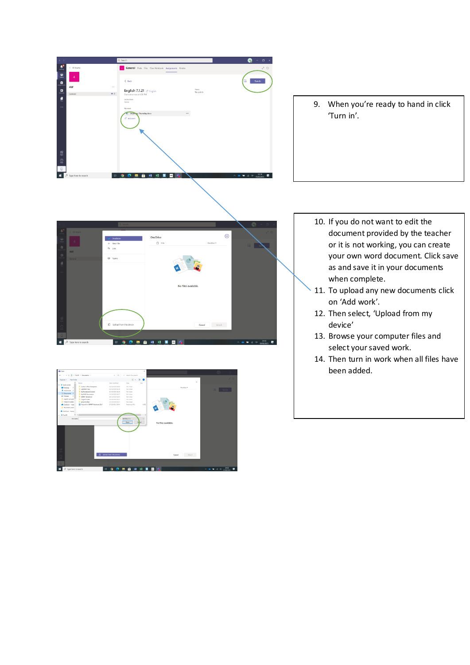

9. When you're ready to hand in click 'Turn in'.





- 10. If you do not want to edit the document provided by the teacher or it is not working, you can create your own word document. Click save as and save it in your documents when complete.
- 11. To upload any new documents click on 'Add work'.
- 12. Then select, 'Upload from my device'
- 13. Browse your computer files and select your saved work.
- 14. Then turn in work when all files have been added.